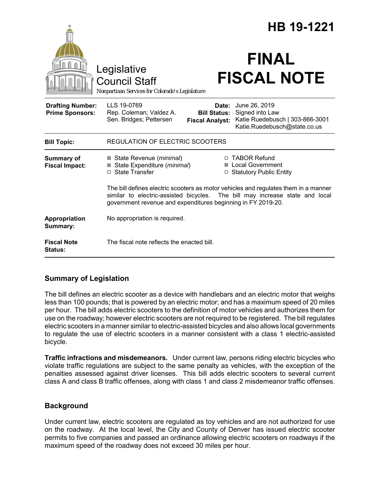|                                                   |                                                                                                                                                                                                                                     | HB 19-1221                                             |                                                                                                     |  |
|---------------------------------------------------|-------------------------------------------------------------------------------------------------------------------------------------------------------------------------------------------------------------------------------------|--------------------------------------------------------|-----------------------------------------------------------------------------------------------------|--|
|                                                   | Legislative<br><b>Council Staff</b><br>Nonpartisan Services for Colorado's Legislature                                                                                                                                              |                                                        | <b>FINAL</b><br><b>FISCAL NOTE</b>                                                                  |  |
| <b>Drafting Number:</b><br><b>Prime Sponsors:</b> | LLS 19-0769<br>Rep. Coleman; Valdez A.<br>Sen. Bridges; Pettersen                                                                                                                                                                   | Date:<br><b>Bill Status:</b><br><b>Fiscal Analyst:</b> | June 26, 2019<br>Signed into Law<br>Katie Ruedebusch   303-866-3001<br>Katie.Ruedebusch@state.co.us |  |
| <b>Bill Topic:</b>                                | <b>REGULATION OF ELECTRIC SCOOTERS</b>                                                                                                                                                                                              |                                                        |                                                                                                     |  |
| <b>Summary of</b><br><b>Fiscal Impact:</b>        | ⊠ State Revenue ( <i>minimal</i> )<br>State Expenditure (minimal)<br>⊠<br>□ State Transfer                                                                                                                                          |                                                        | □ TABOR Refund<br><b>⊠</b> Local Government<br>□ Statutory Public Entity                            |  |
|                                                   | The bill defines electric scooters as motor vehicles and regulates them in a manner<br>similar to electric-assisted bicycles. The bill may increase state and local<br>government revenue and expenditures beginning in FY 2019-20. |                                                        |                                                                                                     |  |
| Appropriation<br>Summary:                         | No appropriation is required.                                                                                                                                                                                                       |                                                        |                                                                                                     |  |
| <b>Fiscal Note</b><br><b>Status:</b>              | The fiscal note reflects the enacted bill.                                                                                                                                                                                          |                                                        |                                                                                                     |  |

# **Summary of Legislation**

The bill defines an electric scooter as a device with handlebars and an electric motor that weighs less than 100 pounds; that is powered by an electric motor; and has a maximum speed of 20 miles per hour. The bill adds electric scooters to the definition of motor vehicles and authorizes them for use on the roadway; however electric scooters are not required to be registered. The bill regulates electric scooters in a manner similar to electric-assisted bicycles and also allows local governments to regulate the use of electric scooters in a manner consistent with a class 1 electric-assisted bicycle.

**Traffic infractions and misdemeanors.** Under current law, persons riding electric bicycles who violate traffic regulations are subject to the same penalty as vehicles, with the exception of the penalties assessed against driver licenses. This bill adds electric scooters to several current class A and class B traffic offenses, along with class 1 and class 2 misdemeanor traffic offenses.

# **Background**

Under current law, electric scooters are regulated as toy vehicles and are not authorized for use on the roadway. At the local level, the City and County of Denver has issued electric scooter permits to five companies and passed an ordinance allowing electric scooters on roadways if the maximum speed of the roadway does not exceed 30 miles per hour.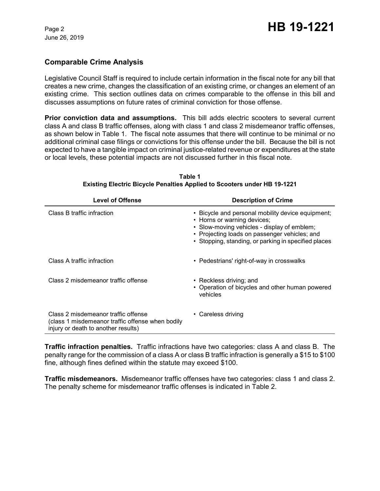June 26, 2019

### **Comparable Crime Analysis**

Legislative Council Staff is required to include certain information in the fiscal note for any bill that creates a new crime, changes the classification of an existing crime, or changes an element of an existing crime. This section outlines data on crimes comparable to the offense in this bill and discusses assumptions on future rates of criminal conviction for those offense.

**Prior conviction data and assumptions.** This bill adds electric scooters to several current class A and class B traffic offenses, along with class 1 and class 2 misdemeanor traffic offenses, as shown below in Table 1. The fiscal note assumes that there will continue to be minimal or no additional criminal case filings or convictions for this offense under the bill. Because the bill is not expected to have a tangible impact on criminal justice-related revenue or expenditures at the state or local levels, these potential impacts are not discussed further in this fiscal note.

| <b>Level of Offense</b>                                                                                                        | <b>Description of Crime</b>                                                                                                                                                                                                              |  |  |
|--------------------------------------------------------------------------------------------------------------------------------|------------------------------------------------------------------------------------------------------------------------------------------------------------------------------------------------------------------------------------------|--|--|
| Class B traffic infraction                                                                                                     | • Bicycle and personal mobility device equipment;<br>• Horns or warning devices;<br>• Slow-moving vehicles - display of emblem;<br>• Projecting loads on passenger vehicles; and<br>• Stopping, standing, or parking in specified places |  |  |
| Class A traffic infraction                                                                                                     | • Pedestrians' right-of-way in crosswalks                                                                                                                                                                                                |  |  |
| Class 2 misdemeanor traffic offense                                                                                            | • Reckless driving; and<br>• Operation of bicycles and other human powered<br>vehicles                                                                                                                                                   |  |  |
| Class 2 misdemeanor traffic offense<br>(class 1 misdemeanor traffic offense when bodily<br>injury or death to another results) | • Careless driving                                                                                                                                                                                                                       |  |  |

**Table 1 Existing Electric Bicycle Penalties Applied to Scooters under HB 19-1221**

**Traffic infraction penalties.** Traffic infractions have two categories: class A and class B. The penalty range for the commission of a class A or class B traffic infraction is generally a \$15 to \$100 fine, although fines defined within the statute may exceed \$100.

**Traffic misdemeanors.** Misdemeanor traffic offenses have two categories: class 1 and class 2. The penalty scheme for misdemeanor traffic offenses is indicated in Table 2.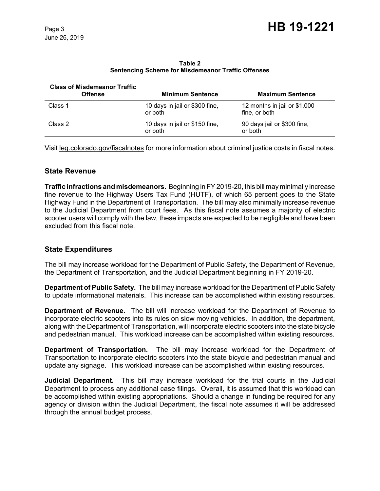**Table 2 Sentencing Scheme for Misdemeanor Traffic Offenses**

| <b>Class of Misdemeanor Traffic</b><br><b>Offense</b> | <b>Minimum Sentence</b>                   | <b>Maximum Sentence</b>                       |
|-------------------------------------------------------|-------------------------------------------|-----------------------------------------------|
| Class 1                                               | 10 days in jail or \$300 fine,<br>or both | 12 months in jail or \$1,000<br>fine, or both |
| Class 2                                               | 10 days in jail or \$150 fine,<br>or both | 90 days jail or \$300 fine,<br>or both        |

Visit leg.colorado.gov/fiscalnotes for more information about criminal justice costs in fiscal notes.

### **State Revenue**

**Traffic infractions and misdemeanors.** Beginning in FY 2019-20, this bill may minimally increase fine revenue to the Highway Users Tax Fund (HUTF), of which 65 percent goes to the State Highway Fund in the Department of Transportation. The bill may also minimally increase revenue to the Judicial Department from court fees. As this fiscal note assumes a majority of electric scooter users will comply with the law, these impacts are expected to be negligible and have been excluded from this fiscal note.

# **State Expenditures**

The bill may increase workload for the Department of Public Safety, the Department of Revenue, the Department of Transportation, and the Judicial Department beginning in FY 2019-20.

**Department of Public Safety.** The bill may increase workload for the Department of Public Safety to update informational materials. This increase can be accomplished within existing resources.

**Department of Revenue.** The bill will increase workload for the Department of Revenue to incorporate electric scooters into its rules on slow moving vehicles. In addition, the department, along with the Department of Transportation, will incorporate electric scooters into the state bicycle and pedestrian manual. This workload increase can be accomplished within existing resources.

**Department of Transportation.** The bill may increase workload for the Department of Transportation to incorporate electric scooters into the state bicycle and pedestrian manual and update any signage. This workload increase can be accomplished within existing resources.

**Judicial Department***.* This bill may increase workload for the trial courts in the Judicial Department to process any additional case filings. Overall, it is assumed that this workload can be accomplished within existing appropriations. Should a change in funding be required for any agency or division within the Judicial Department, the fiscal note assumes it will be addressed through the annual budget process.